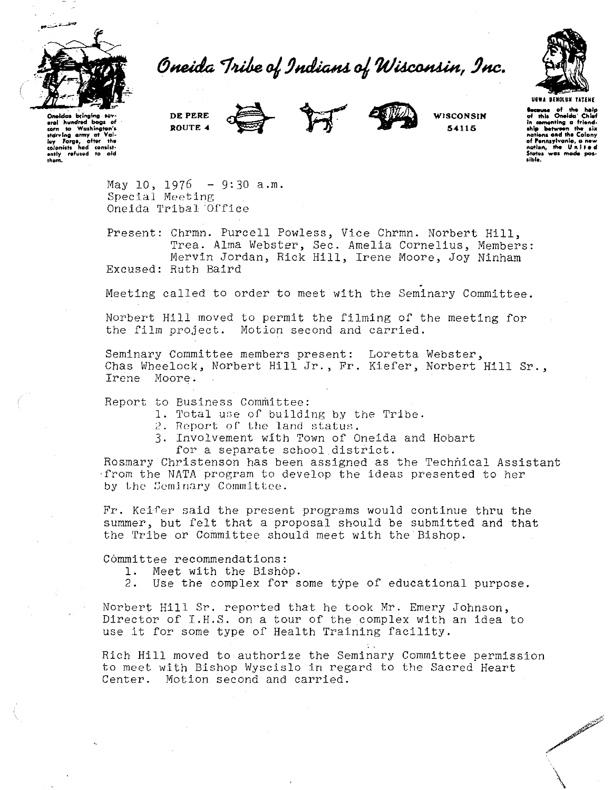

Oneida Tribe of Indians of Wisconsin, Inc.



**URWA SENDINE YATERE Because** of the help<br>of this Oneida' Chief of this Oneida' Chief<br>in cementing a friend-<br>ship between the six<br>nations and the Colony of Pennsylvania, a .<br>Man, was mode atos.

**WISCONSIN** 

54115

eral hundred boas of Washington's **And** starring army at Val-<br>ley Forge, ofter the<br>colonists had consist-<br>ently refused to aid<br>them. starving army at

May 10, 1976 - 9:30 a.m. Special Meeting Oneida Tribal Office

DE PERE

ROUTE 4

Present: Chrmn. Purcell Powless, Vice Chrmn. Norbert Hill, Trea. Alma Webster, Sec. Amelia Cornelius, Members: Mervin Jordan, Rick Hill, Irene Moore, Joy Ninham Excused: Ruth Baird

Meeting called to order to meet with the Seminary Committee.

Norbert Hill moved to permit the filming of the meeting for the film project. Motion second and carried.

Seminary Committee members present: Loretta Webster, Chas Wheelock, Norbert Hill Jr., Fr. Kiefer, Norbert Hill Sr., Irene Moore.

Report to Business Committee:

- 1. Total use of building by the Tribe.
- 2. Report of the land status.
- 3. Involvement with Town of Oneida and Hobart for a separate school district.

Rosmary Christenson has been assigned as the Technical Assistant from the NATA program to develop the ideas presented to her by the Seminary Committee.

Fr. Keifer said the present programs would continue thru the summer, but felt that a proposal should be submitted and that the Tribe or Committee should meet with the Bishop.

Committee recommendations:

- Meet with the Bishop.  $1.$
- $2.$ Use the complex for some type of educational purpose.

Norbert Hill Sr. reported that he took Mr. Emery Johnson, Director of I.H.S. on a tour of the complex with an idea to use it for some type of Health Training facility.

Rich Hill moved to authorize the Seminary Committee permission to meet with Bishop Wyscislo in regard to the Sacred Heart Center. Motion second and carried.

ANGEL AND COMPANY